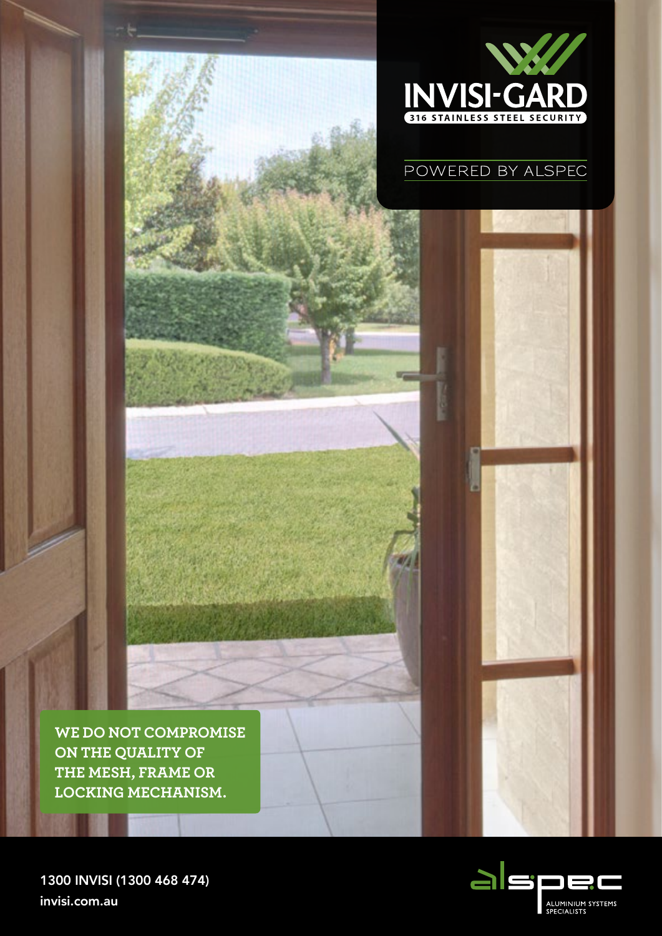

### POWERED BY ALSPEC

**WE DO NOT COMPROMISE ON THE QUALITY OF THE MESH, FRAME OR LOCKING MECHANISM.**

1300 INVISI (1300 468 474) invisi.com.au